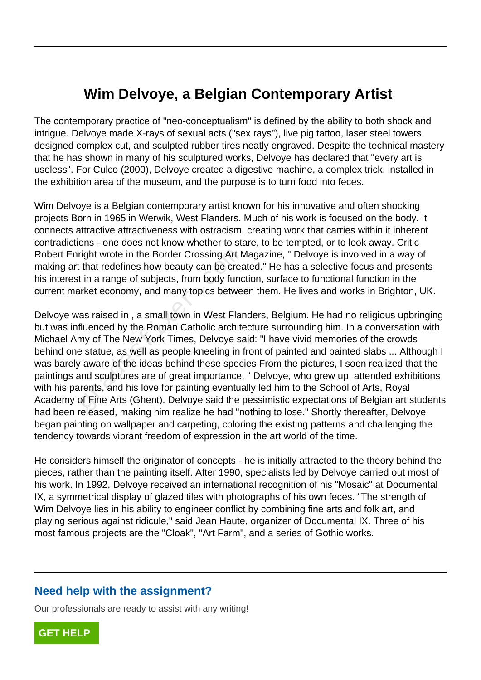## **Wim Delvoye, a Belgian Contemporary Artist**

The contemporary practice of "neo-conceptualism" is defined by the ability to both shock and intrigue. Delvoye made X-rays of sexual acts ("sex rays"), live pig tattoo, laser steel towers designed complex cut, and sculpted rubber tires neatly engraved. Despite the technical mastery that he has shown in many of his sculptured works, Delvoye has declared that "every art is useless". For Culco (2000), Delvoye created a digestive machine, a complex trick, installed in the exhibition area of the museum, and the purpose is to turn food into feces.

Wim Delvoye is a Belgian contemporary artist known for his innovative and often shocking projects Born in 1965 in Werwik, West Flanders. Much of his work is focused on the body. It connects attractive attractiveness with ostracism, creating work that carries within it inherent contradictions - one does not know whether to stare, to be tempted, or to look away. Critic Robert Enright wrote in the Border Crossing Art Magazine, " Delvoye is involved in a way of making art that redefines how beauty can be created." He has a selective focus and presents his interest in a range of subjects, from body function, surface to functional function in the current market economy, and many topics between them. He lives and works in Brighton, UK.

Delvoye was raised in , a small town in West Flanders, Belgium. He had no religious upbringing but was influenced by the Roman Catholic architecture surrounding him. In a conversation with Michael Amy of The New York Times, Delvoye said: "I have vivid memories of the crowds behind one statue, as well as people kneeling in front of painted and painted slabs ... Although I was barely aware of the ideas behind these species From the pictures, I soon realized that the paintings and sculptures are of great importance. " Delvoye, who grew up, attended exhibitions with his parents, and his love for painting eventually led him to the School of Arts, Royal Academy of Fine Arts (Ghent). Delvoye said the pessimistic expectations of Belgian art students had been released, making him realize he had "nothing to lose." Shortly thereafter, Delvoye began painting on wallpaper and carpeting, coloring the existing patterns and challenging the tendency towards vibrant freedom of expression in the art world of the time. right wrote in the Border Crossing Art IT that redefines how beauty can be cread tin a range of subjects, from body functived that the conomy, and many topics betwe as raised in , a small town in West Flat fluenced by the

He considers himself the originator of concepts - he is initially attracted to the theory behind the pieces, rather than the painting itself. After 1990, specialists led by Delvoye carried out most of his work. In 1992, Delvoye received an international recognition of his "Mosaic" at Documental IX, a symmetrical display of glazed tiles with photographs of his own feces. "The strength of Wim Delvoye lies in his ability to engineer conflict by combining fine arts and folk art, and playing serious against ridicule," said Jean Haute, organizer of Documental IX. Three of his most famous projects are the "Cloak", "Art Farm", and a series of Gothic works.

## **Need help with the assignment?**

Our professionals are ready to assist with any writing!